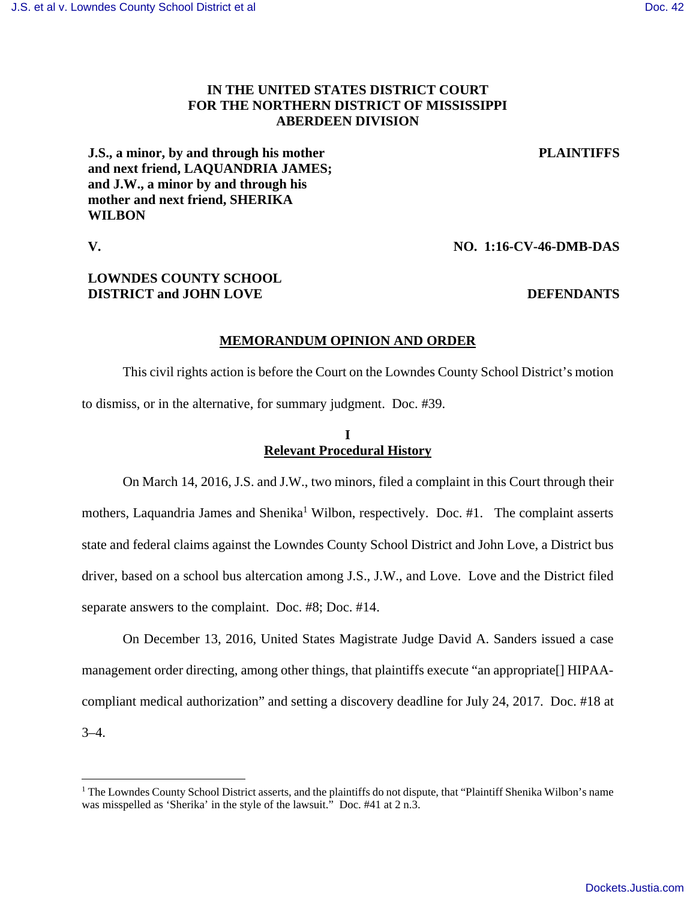# **IN THE UNITED STATES DISTRICT COURT FOR THE NORTHERN DISTRICT OF MISSISSIPPI ABERDEEN DIVISION**

**PLAINTIFFS**

**J.S., a minor, by and through his mother and next friend, LAQUANDRIA JAMES; and J.W., a minor by and through his mother and next friend, SHERIKA WILBON** 

<u>.</u>

**V. NO. 1:16-CV-46-DMB-DAS**

# **LOWNDES COUNTY SCHOOL DISTRICT** and JOHN LOVE DEFENDANTS

## **MEMORANDUM OPINION AND ORDER**

 This civil rights action is before the Court on the Lowndes County School District's motion to dismiss, or in the alternative, for summary judgment. Doc. #39.

## **I Relevant Procedural History**

 On March 14, 2016, J.S. and J.W., two minors, filed a complaint in this Court through their mothers, Laquandria James and Shenika<sup>1</sup> Wilbon, respectively. Doc. #1. The complaint asserts state and federal claims against the Lowndes County School District and John Love, a District bus driver, based on a school bus altercation among J.S., J.W., and Love. Love and the District filed separate answers to the complaint. Doc. #8; Doc. #14.

 On December 13, 2016, United States Magistrate Judge David A. Sanders issued a case management order directing, among other things, that plaintiffs execute "an appropriate[] HIPAAcompliant medical authorization" and setting a discovery deadline for July 24, 2017. Doc. #18 at 3–4.

<sup>&</sup>lt;sup>1</sup> The Lowndes County School District asserts, and the plaintiffs do not dispute, that "Plaintiff Shenika Wilbon's name was misspelled as 'Sherika' in the style of the lawsuit." Doc. #41 at 2 n.3.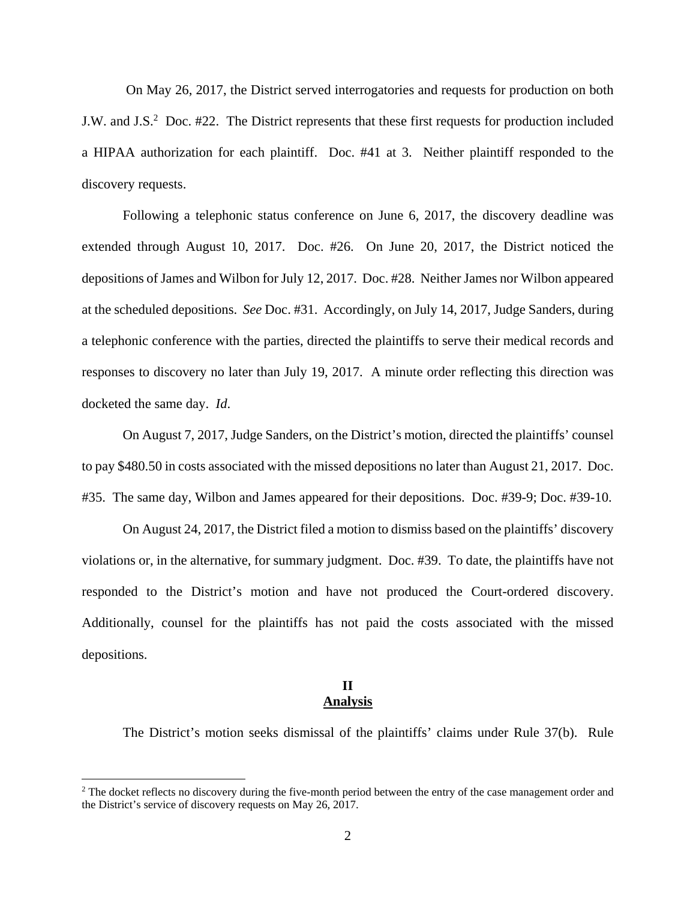On May 26, 2017, the District served interrogatories and requests for production on both J.W. and J.S.<sup>2</sup> Doc. #22. The District represents that these first requests for production included a HIPAA authorization for each plaintiff. Doc. #41 at 3. Neither plaintiff responded to the discovery requests.

 Following a telephonic status conference on June 6, 2017, the discovery deadline was extended through August 10, 2017. Doc. #26. On June 20, 2017, the District noticed the depositions of James and Wilbon for July 12, 2017. Doc. #28. Neither James nor Wilbon appeared at the scheduled depositions. *See* Doc. #31. Accordingly, on July 14, 2017, Judge Sanders, during a telephonic conference with the parties, directed the plaintiffs to serve their medical records and responses to discovery no later than July 19, 2017. A minute order reflecting this direction was docketed the same day. *Id*.

On August 7, 2017, Judge Sanders, on the District's motion, directed the plaintiffs' counsel to pay \$480.50 in costs associated with the missed depositions no later than August 21, 2017. Doc. #35. The same day, Wilbon and James appeared for their depositions. Doc. #39-9; Doc. #39-10.

 On August 24, 2017, the District filed a motion to dismiss based on the plaintiffs' discovery violations or, in the alternative, for summary judgment. Doc. #39. To date, the plaintiffs have not responded to the District's motion and have not produced the Court-ordered discovery. Additionally, counsel for the plaintiffs has not paid the costs associated with the missed depositions.

# **II Analysis**

The District's motion seeks dismissal of the plaintiffs' claims under Rule 37(b). Rule

 $\overline{a}$ 

 $2$  The docket reflects no discovery during the five-month period between the entry of the case management order and the District's service of discovery requests on May 26, 2017.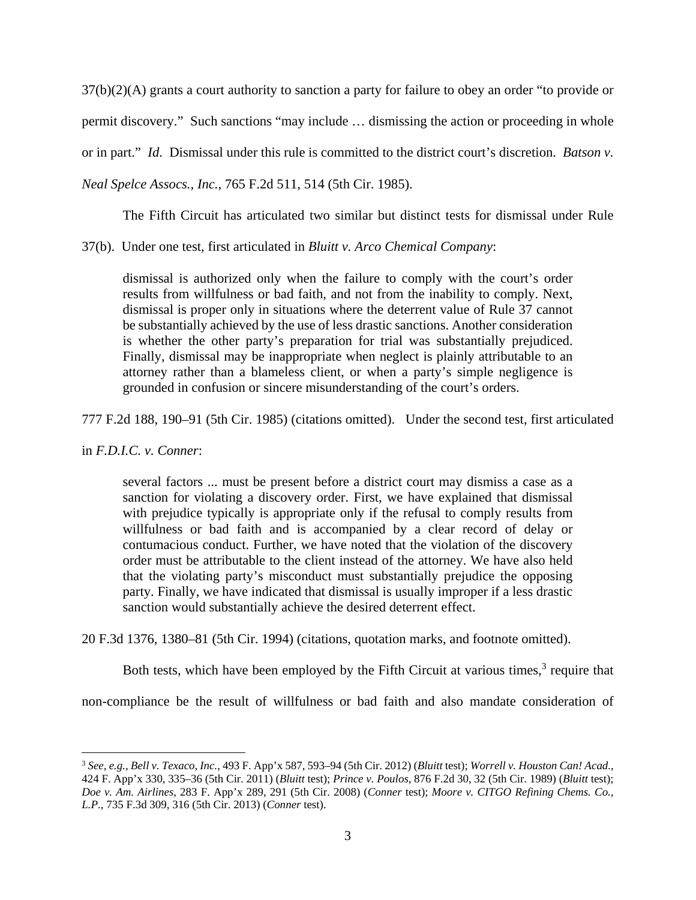37(b)(2)(A) grants a court authority to sanction a party for failure to obey an order "to provide or permit discovery." Such sanctions "may include … dismissing the action or proceeding in whole or in part." *Id*. Dismissal under this rule is committed to the district court's discretion. *Batson v. Neal Spelce Assocs., Inc.*, 765 F.2d 511, 514 (5th Cir. 1985).

The Fifth Circuit has articulated two similar but distinct tests for dismissal under Rule

37(b). Under one test, first articulated in *Bluitt v. Arco Chemical Company*:

dismissal is authorized only when the failure to comply with the court's order results from willfulness or bad faith, and not from the inability to comply. Next, dismissal is proper only in situations where the deterrent value of Rule 37 cannot be substantially achieved by the use of less drastic sanctions. Another consideration is whether the other party's preparation for trial was substantially prejudiced. Finally, dismissal may be inappropriate when neglect is plainly attributable to an attorney rather than a blameless client, or when a party's simple negligence is grounded in confusion or sincere misunderstanding of the court's orders.

777 F.2d 188, 190–91 (5th Cir. 1985) (citations omitted). Under the second test, first articulated

in *F.D.I.C. v. Conner*:

several factors ... must be present before a district court may dismiss a case as a sanction for violating a discovery order. First, we have explained that dismissal with prejudice typically is appropriate only if the refusal to comply results from willfulness or bad faith and is accompanied by a clear record of delay or contumacious conduct. Further, we have noted that the violation of the discovery order must be attributable to the client instead of the attorney. We have also held that the violating party's misconduct must substantially prejudice the opposing party. Finally, we have indicated that dismissal is usually improper if a less drastic sanction would substantially achieve the desired deterrent effect.

20 F.3d 1376, 1380–81 (5th Cir. 1994) (citations, quotation marks, and footnote omitted).

Both tests, which have been employed by the Fifth Circuit at various times, $3$  require that

non-compliance be the result of willfulness or bad faith and also mandate consideration of

<sup>&</sup>lt;u>.</u> 3  *See, e.g., Bell v. Texaco, Inc.*, 493 F. App'x 587, 593–94 (5th Cir. 2012) (*Bluitt* test); *Worrell v. Houston Can! Acad.*, 424 F. App'x 330, 335–36 (5th Cir. 2011) (*Bluitt* test); *Prince v. Poulos*, 876 F.2d 30, 32 (5th Cir. 1989) (*Bluitt* test); *Doe v. Am. Airlines*, 283 F. App'x 289, 291 (5th Cir. 2008) (*Conner* test); *Moore v. CITGO Refining Chems. Co., L.P.*, 735 F.3d 309, 316 (5th Cir. 2013) (*Conner* test).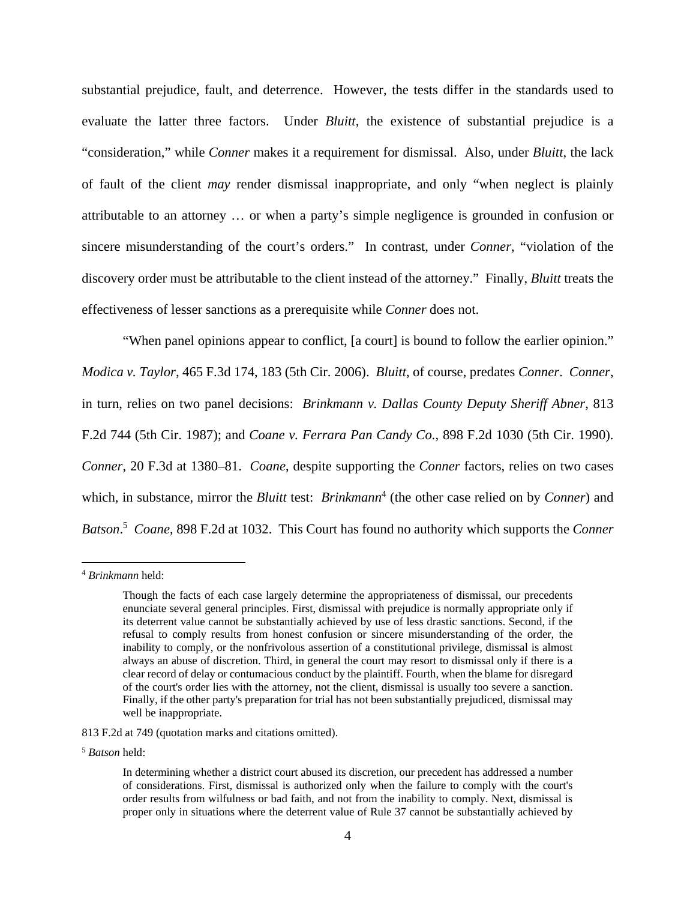substantial prejudice, fault, and deterrence. However, the tests differ in the standards used to evaluate the latter three factors. Under *Bluitt*, the existence of substantial prejudice is a "consideration," while *Conner* makes it a requirement for dismissal. Also, under *Bluitt*, the lack of fault of the client *may* render dismissal inappropriate, and only "when neglect is plainly attributable to an attorney … or when a party's simple negligence is grounded in confusion or sincere misunderstanding of the court's orders." In contrast, under *Conner*, "violation of the discovery order must be attributable to the client instead of the attorney." Finally, *Bluitt* treats the effectiveness of lesser sanctions as a prerequisite while *Conner* does not.

 "When panel opinions appear to conflict, [a court] is bound to follow the earlier opinion." *Modica v. Taylor*, 465 F.3d 174, 183 (5th Cir. 2006). *Bluitt*, of course, predates *Conner*. *Conner*, in turn, relies on two panel decisions: *Brinkmann v. Dallas County Deputy Sheriff Abner*, 813 F.2d 744 (5th Cir. 1987); and *Coane v. Ferrara Pan Candy Co.*, 898 F.2d 1030 (5th Cir. 1990). *Conner*, 20 F.3d at 1380–81. *Coane*, despite supporting the *Conner* factors, relies on two cases which, in substance, mirror the *Bluitt* test: *Brinkmann*<sup>4</sup> (the other case relied on by *Conner*) and *Batson*. 5 *Coane*, 898 F.2d at 1032. This Court has found no authority which supports the *Conner* 

 $\overline{a}$ 

813 F.2d at 749 (quotation marks and citations omitted).

<sup>5</sup> *Batson* held:

<sup>4</sup> *Brinkmann* held:

Though the facts of each case largely determine the appropriateness of dismissal, our precedents enunciate several general principles. First, dismissal with prejudice is normally appropriate only if its deterrent value cannot be substantially achieved by use of less drastic sanctions. Second, if the refusal to comply results from honest confusion or sincere misunderstanding of the order, the inability to comply, or the nonfrivolous assertion of a constitutional privilege, dismissal is almost always an abuse of discretion. Third, in general the court may resort to dismissal only if there is a clear record of delay or contumacious conduct by the plaintiff. Fourth, when the blame for disregard of the court's order lies with the attorney, not the client, dismissal is usually too severe a sanction. Finally, if the other party's preparation for trial has not been substantially prejudiced, dismissal may well be inappropriate.

In determining whether a district court abused its discretion, our precedent has addressed a number of considerations. First, dismissal is authorized only when the failure to comply with the court's order results from wilfulness or bad faith, and not from the inability to comply. Next, dismissal is proper only in situations where the deterrent value of Rule 37 cannot be substantially achieved by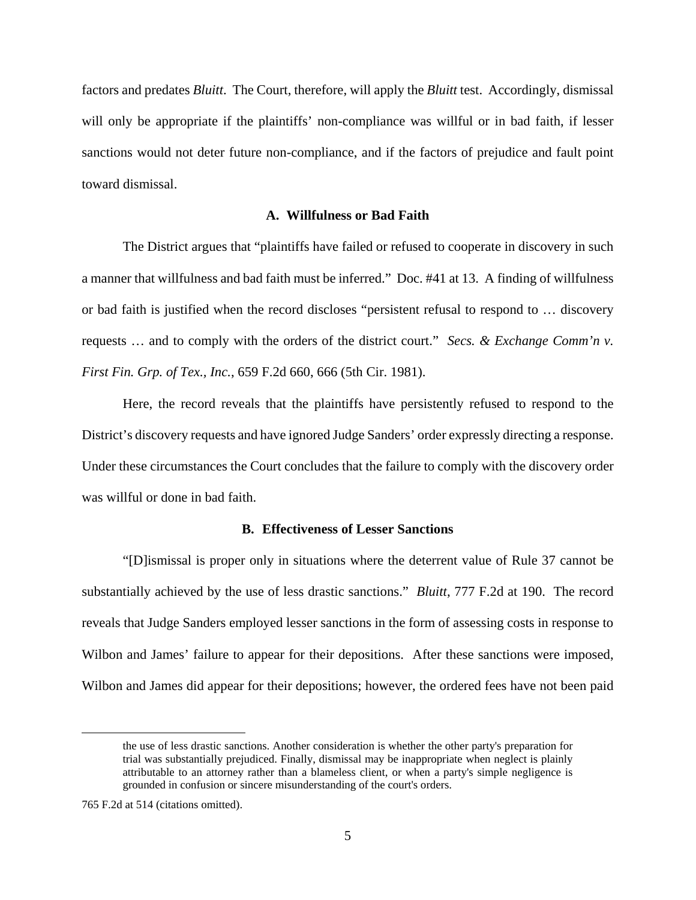factors and predates *Bluitt*. The Court, therefore, will apply the *Bluitt* test. Accordingly, dismissal will only be appropriate if the plaintiffs' non-compliance was willful or in bad faith, if lesser sanctions would not deter future non-compliance, and if the factors of prejudice and fault point toward dismissal.

## **A. Willfulness or Bad Faith**

The District argues that "plaintiffs have failed or refused to cooperate in discovery in such a manner that willfulness and bad faith must be inferred." Doc. #41 at 13. A finding of willfulness or bad faith is justified when the record discloses "persistent refusal to respond to … discovery requests … and to comply with the orders of the district court." *Secs. & Exchange Comm'n v. First Fin. Grp. of Tex., Inc.*, 659 F.2d 660, 666 (5th Cir. 1981).

Here, the record reveals that the plaintiffs have persistently refused to respond to the District's discovery requests and have ignored Judge Sanders' order expressly directing a response. Under these circumstances the Court concludes that the failure to comply with the discovery order was willful or done in bad faith.

### **B. Effectiveness of Lesser Sanctions**

"[D]ismissal is proper only in situations where the deterrent value of Rule 37 cannot be substantially achieved by the use of less drastic sanctions." *Bluitt*, 777 F.2d at 190. The record reveals that Judge Sanders employed lesser sanctions in the form of assessing costs in response to Wilbon and James' failure to appear for their depositions. After these sanctions were imposed, Wilbon and James did appear for their depositions; however, the ordered fees have not been paid

<u>.</u>

the use of less drastic sanctions. Another consideration is whether the other party's preparation for trial was substantially prejudiced. Finally, dismissal may be inappropriate when neglect is plainly attributable to an attorney rather than a blameless client, or when a party's simple negligence is grounded in confusion or sincere misunderstanding of the court's orders.

<sup>765</sup> F.2d at 514 (citations omitted).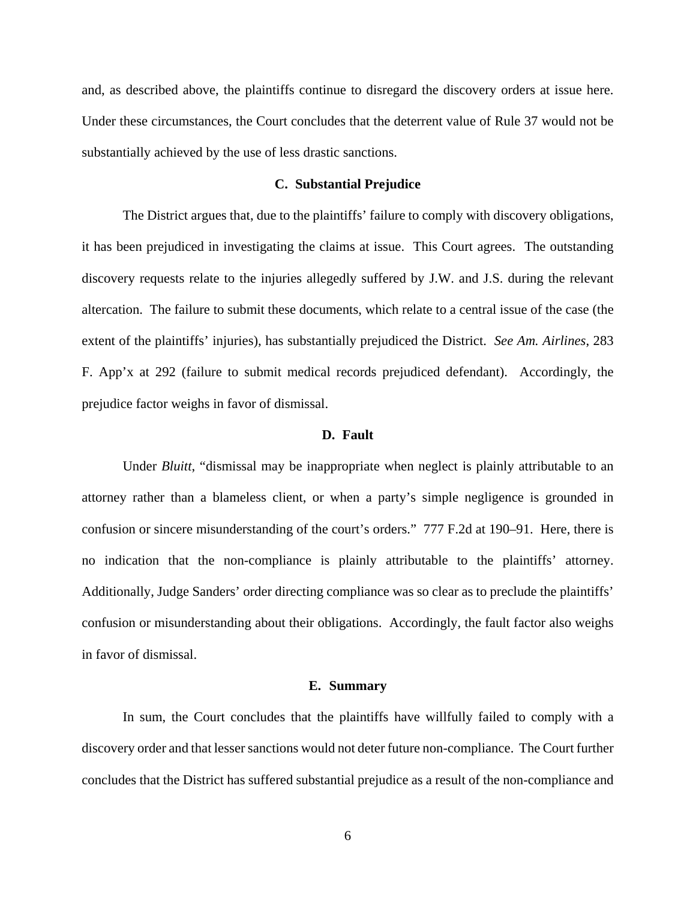and, as described above, the plaintiffs continue to disregard the discovery orders at issue here. Under these circumstances, the Court concludes that the deterrent value of Rule 37 would not be substantially achieved by the use of less drastic sanctions.

## **C. Substantial Prejudice**

The District argues that, due to the plaintiffs' failure to comply with discovery obligations, it has been prejudiced in investigating the claims at issue. This Court agrees. The outstanding discovery requests relate to the injuries allegedly suffered by J.W. and J.S. during the relevant altercation. The failure to submit these documents, which relate to a central issue of the case (the extent of the plaintiffs' injuries), has substantially prejudiced the District. *See Am. Airlines*, 283 F. App'x at 292 (failure to submit medical records prejudiced defendant). Accordingly, the prejudice factor weighs in favor of dismissal.

## **D. Fault**

Under *Bluitt*, "dismissal may be inappropriate when neglect is plainly attributable to an attorney rather than a blameless client, or when a party's simple negligence is grounded in confusion or sincere misunderstanding of the court's orders." 777 F.2d at 190–91. Here, there is no indication that the non-compliance is plainly attributable to the plaintiffs' attorney. Additionally, Judge Sanders' order directing compliance was so clear as to preclude the plaintiffs' confusion or misunderstanding about their obligations. Accordingly, the fault factor also weighs in favor of dismissal.

#### **E. Summary**

In sum, the Court concludes that the plaintiffs have willfully failed to comply with a discovery order and that lesser sanctions would not deter future non-compliance. The Court further concludes that the District has suffered substantial prejudice as a result of the non-compliance and